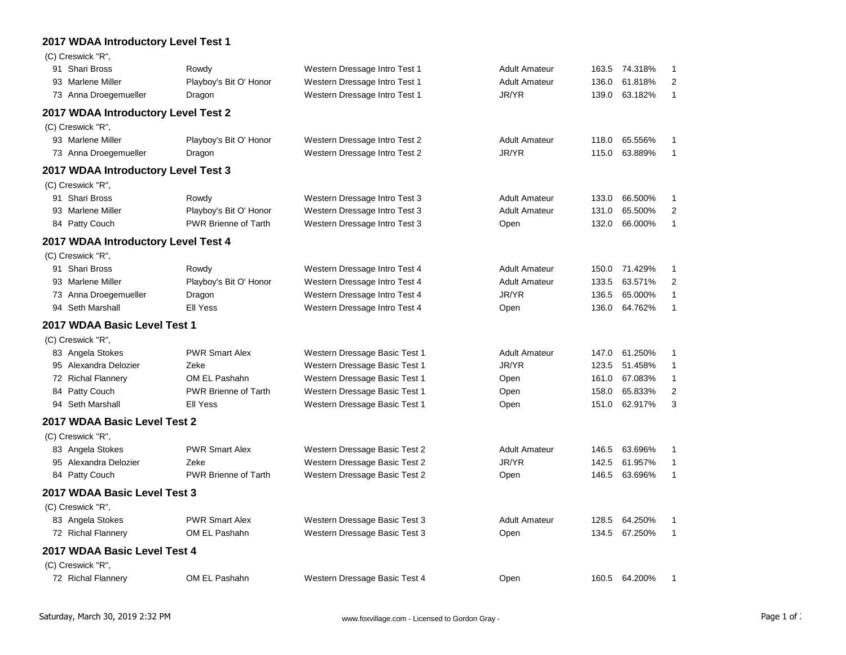## **2017 WDAA Introductory Level Test 1**

| (C) Creswick "R",                   |                             |                               |                      |       |         |                |
|-------------------------------------|-----------------------------|-------------------------------|----------------------|-------|---------|----------------|
| 91 Shari Bross                      | Rowdy                       | Western Dressage Intro Test 1 | <b>Adult Amateur</b> | 163.5 | 74.318% | 1              |
| 93 Marlene Miller                   | Playboy's Bit O' Honor      | Western Dressage Intro Test 1 | <b>Adult Amateur</b> | 136.0 | 61.818% | $\overline{2}$ |
| 73 Anna Droegemueller               | Dragon                      | Western Dressage Intro Test 1 | JR/YR                | 139.0 | 63.182% | 1              |
| 2017 WDAA Introductory Level Test 2 |                             |                               |                      |       |         |                |
| (C) Creswick "R",                   |                             |                               |                      |       |         |                |
| 93 Marlene Miller                   | Playboy's Bit O' Honor      | Western Dressage Intro Test 2 | <b>Adult Amateur</b> | 118.0 | 65.556% | 1              |
| 73 Anna Droegemueller               | Dragon                      | Western Dressage Intro Test 2 | JR/YR                | 115.0 | 63.889% | $\mathbf{1}$   |
| 2017 WDAA Introductory Level Test 3 |                             |                               |                      |       |         |                |
| (C) Creswick "R",                   |                             |                               |                      |       |         |                |
| 91 Shari Bross                      | Rowdy                       | Western Dressage Intro Test 3 | <b>Adult Amateur</b> | 133.0 | 66.500% | 1              |
| 93 Marlene Miller                   | Playboy's Bit O' Honor      | Western Dressage Intro Test 3 | <b>Adult Amateur</b> | 131.0 | 65.500% | 2              |
| 84 Patty Couch                      | <b>PWR Brienne of Tarth</b> | Western Dressage Intro Test 3 | Open                 | 132.0 | 66.000% | 1              |
| 2017 WDAA Introductory Level Test 4 |                             |                               |                      |       |         |                |
| (C) Creswick "R",                   |                             |                               |                      |       |         |                |
| 91 Shari Bross                      | Rowdy                       | Western Dressage Intro Test 4 | <b>Adult Amateur</b> | 150.0 | 71.429% | 1              |
| 93 Marlene Miller                   | Playboy's Bit O' Honor      | Western Dressage Intro Test 4 | <b>Adult Amateur</b> | 133.5 | 63.571% | $\overline{2}$ |
| 73 Anna Droegemueller               | Dragon                      | Western Dressage Intro Test 4 | JR/YR                | 136.5 | 65.000% | $\mathbf{1}$   |
| 94 Seth Marshall                    | <b>Ell Yess</b>             | Western Dressage Intro Test 4 | Open                 | 136.0 | 64.762% | 1              |
| 2017 WDAA Basic Level Test 1        |                             |                               |                      |       |         |                |
| (C) Creswick "R",                   |                             |                               |                      |       |         |                |
| 83 Angela Stokes                    | <b>PWR Smart Alex</b>       | Western Dressage Basic Test 1 | <b>Adult Amateur</b> | 147.0 | 61.250% | 1              |
| 95 Alexandra Delozier               | Zeke                        | Western Dressage Basic Test 1 | JR/YR                | 123.5 | 51.458% | $\mathbf{1}$   |
| 72 Richal Flannery                  | OM EL Pashahn               | Western Dressage Basic Test 1 | Open                 | 161.0 | 67.083% | 1              |
| 84 Patty Couch                      | <b>PWR Brienne of Tarth</b> | Western Dressage Basic Test 1 | Open                 | 158.0 | 65.833% | 2              |
| 94 Seth Marshall                    | <b>Ell Yess</b>             | Western Dressage Basic Test 1 | Open                 | 151.0 | 62.917% | 3              |
| 2017 WDAA Basic Level Test 2        |                             |                               |                      |       |         |                |
| (C) Creswick "R",                   |                             |                               |                      |       |         |                |
| 83 Angela Stokes                    | <b>PWR Smart Alex</b>       | Western Dressage Basic Test 2 | <b>Adult Amateur</b> | 146.5 | 63.696% | 1              |
| 95 Alexandra Delozier               | Zeke                        | Western Dressage Basic Test 2 | JR/YR                | 142.5 | 61.957% | 1              |
| 84 Patty Couch                      | <b>PWR Brienne of Tarth</b> | Western Dressage Basic Test 2 | Open                 | 146.5 | 63.696% | $\mathbf{1}$   |
| 2017 WDAA Basic Level Test 3        |                             |                               |                      |       |         |                |
| (C) Creswick "R",                   |                             |                               |                      |       |         |                |
| 83 Angela Stokes                    | <b>PWR Smart Alex</b>       | Western Dressage Basic Test 3 | <b>Adult Amateur</b> | 128.5 | 64.250% | 1              |
| 72 Richal Flannery                  | OM EL Pashahn               | Western Dressage Basic Test 3 | Open                 | 134.5 | 67.250% | 1              |
| 2017 WDAA Basic Level Test 4        |                             |                               |                      |       |         |                |
| (C) Creswick "R",                   |                             |                               |                      |       |         |                |
| 72 Richal Flannery                  | OM EL Pashahn               | Western Dressage Basic Test 4 | Open                 | 160.5 | 64.200% |                |
|                                     |                             |                               |                      |       |         |                |